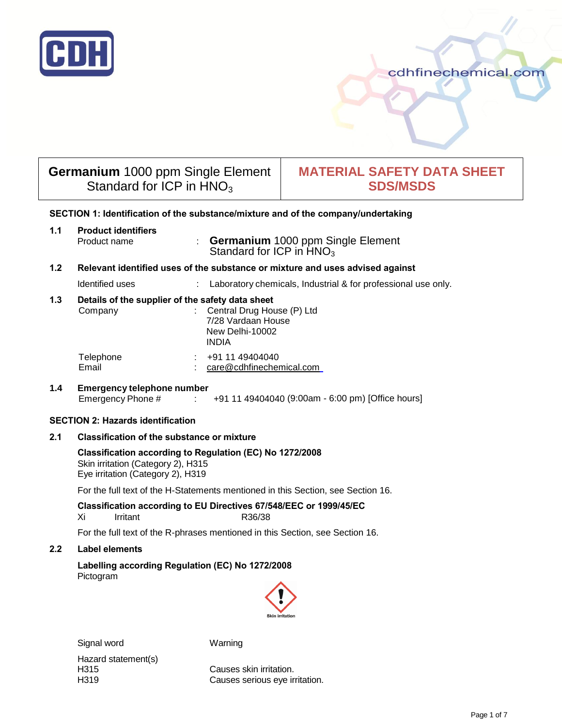

# cdhfinechemical.com

# **Germanium** 1000 ppm Single Element Standard for ICP in  $HNO<sub>3</sub>$

# **MATERIAL SAFETY DATA SHEET SDS/MSDS**

# **SECTION 1: Identification of the substance/mixture and of the company/undertaking**

| 1.1              | <b>Product identifiers</b>        |                                                                                                                                         |
|------------------|-----------------------------------|-----------------------------------------------------------------------------------------------------------------------------------------|
|                  | Product name                      | <b>Germanium</b> 1000 ppm Single Element<br>÷<br>Standard for ICP in $HNO3$                                                             |
| 1.2 <sub>2</sub> |                                   | Relevant identified uses of the substance or mixture and uses advised against                                                           |
|                  | Identified uses                   | Laboratory chemicals, Industrial & for professional use only.                                                                           |
| 1.3              | Company                           | Details of the supplier of the safety data sheet<br>Central Drug House (P) Ltd<br>7/28 Vardaan House<br>New Delhi-10002<br><b>INDIA</b> |
|                  | Telephone<br>Email                | +91 11 49404040<br>care@cdhfinechemical.com                                                                                             |
| 1.4              | <b>Emergency telephone number</b> |                                                                                                                                         |

# Emergency Phone # : +91 11 49404040 (9:00am - 6:00 pm) [Office hours]

# **SECTION 2: Hazards identification**

# **2.1 Classification of the substance or mixture**

## **Classification according to Regulation (EC) No 1272/2008**  Skin irritation (Category 2), H315 Eye irritation (Category 2), H319

For the full text of the H-Statements mentioned in this Section, see Section 16.

# **Classification according to EU Directives 67/548/EEC or 1999/45/EC**  Xi Irritant R36/38

For the full text of the R-phrases mentioned in this Section, see Section 16.

# **2.2 Label elements**

**Labelling according Regulation (EC) No 1272/2008** Pictogram



Signal word Warning

Hazard statement(s)

H315 Causes skin irritation. H319 Causes serious eye irritation.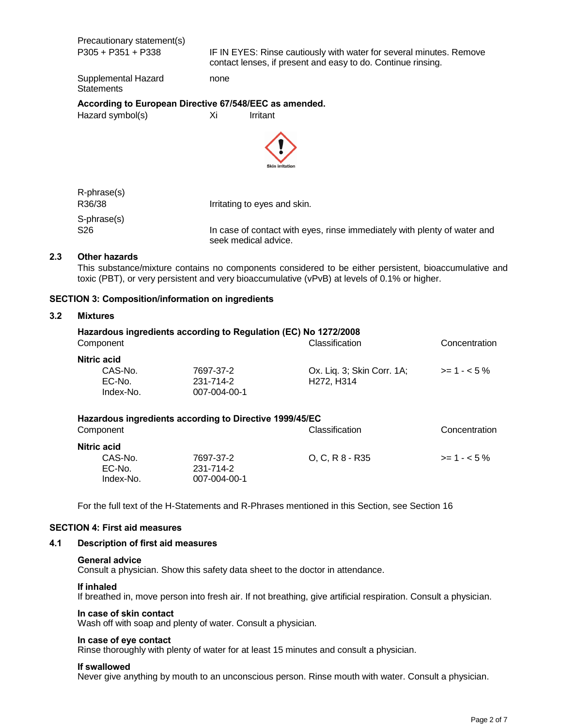Precautionary statement(s)

P305 + P351 + P338 IF IN EYES: Rinse cautiously with water for several minutes. Remove contact lenses, if present and easy to do. Continue rinsing.

Supplemental Hazard none **Statements** 

# **According to European Directive 67/548/EEC as amended.**

Hazard symbol(s) Xi Irritant



| R-phrase(s) |                                                                                                  |
|-------------|--------------------------------------------------------------------------------------------------|
| R36/38      | Irritating to eyes and skin.                                                                     |
| S-phrase(s) |                                                                                                  |
| S26         | In case of contact with eyes, rinse immediately with plenty of water and<br>seek medical advice. |

#### **2.3 Other hazards**

This substance/mixture contains no components considered to be either persistent, bioaccumulative and toxic (PBT), or very persistent and very bioaccumulative (vPvB) at levels of 0.1% or higher.

#### **SECTION 3: Composition/information on ingredients**

#### **3.2 Mixtures**

|              | Hazardous ingredients according to Regulation (EC) No 1272/2008 |                                     |               |
|--------------|-----------------------------------------------------------------|-------------------------------------|---------------|
| Component    |                                                                 | Classification                      | Concentration |
| Nitric acid  |                                                                 |                                     |               |
| CAS-No.      | 7697-37-2                                                       | Ox. Liq. 3; Skin Corr. 1A;          | $>= 1 - 5\%$  |
| EC-No.       | 231-714-2                                                       | H <sub>272</sub> , H <sub>314</sub> |               |
| Index-No.    | 007-004-00-1                                                    |                                     |               |
|              | Hazardous ingredients according to Directive 1999/45/EC         |                                     |               |
| Component    |                                                                 | Classification                      | Concentration |
| Niitrio ooid |                                                                 |                                     |               |

| Nitric acid |              |                 |              |
|-------------|--------------|-----------------|--------------|
| CAS-No.     | 7697-37-2    | O. C. R 8 - R35 | $>= 1 - 5\%$ |
| EC-No.      | 231-714-2    |                 |              |
| Index-No.   | 007-004-00-1 |                 |              |
|             |              |                 |              |

For the full text of the H-Statements and R-Phrases mentioned in this Section, see Section 16

#### **SECTION 4: First aid measures**

#### **4.1 Description of first aid measures**

#### **General advice**

Consult a physician. Show this safety data sheet to the doctor in attendance.

#### **If inhaled**

If breathed in, move person into fresh air. If not breathing, give artificial respiration. Consult a physician.

#### **In case of skin contact**

Wash off with soap and plenty of water. Consult a physician.

#### **In case of eye contact**

Rinse thoroughly with plenty of water for at least 15 minutes and consult a physician.

#### **If swallowed**

Never give anything by mouth to an unconscious person. Rinse mouth with water. Consult a physician.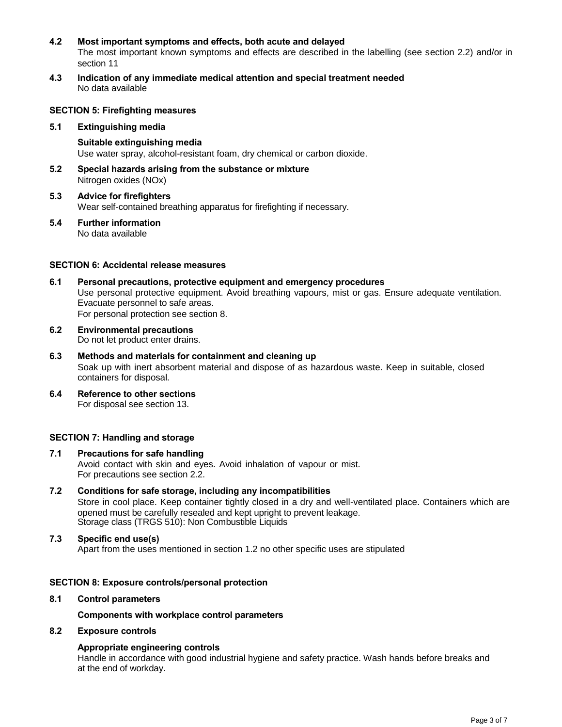## **4.2 Most important symptoms and effects, both acute and delayed**

The most important known symptoms and effects are described in the labelling (see section 2.2) and/or in section 11

**4.3 Indication of any immediate medical attention and special treatment needed**  No data available

#### **SECTION 5: Firefighting measures**

- **5.1 Extinguishing media**
	- **Suitable extinguishing media**  Use water spray, alcohol-resistant foam, dry chemical or carbon dioxide.
- **5.2 Special hazards arising from the substance or mixture**  Nitrogen oxides (NOx)
- **5.3 Advice for firefighters** Wear self-contained breathing apparatus for firefighting if necessary.
- **5.4 Further information** No data available

#### **SECTION 6: Accidental release measures**

- **6.1 Personal precautions, protective equipment and emergency procedures**  Use personal protective equipment. Avoid breathing vapours, mist or gas. Ensure adequate ventilation. Evacuate personnel to safe areas. For personal protection see section 8.
- **6.2 Environmental precautions** Do not let product enter drains.
- **6.3 Methods and materials for containment and cleaning up**  Soak up with inert absorbent material and dispose of as hazardous waste. Keep in suitable, closed containers for disposal.
- **6.4 Reference to other sections** For disposal see section 13.

# **SECTION 7: Handling and storage**

- **7.1 Precautions for safe handling** Avoid contact with skin and eyes. Avoid inhalation of vapour or mist. For precautions see section 2.2.
- **7.2 Conditions for safe storage, including any incompatibilities**  Store in cool place. Keep container tightly closed in a dry and well-ventilated place. Containers which are opened must be carefully resealed and kept upright to prevent leakage. Storage class (TRGS 510): Non Combustible Liquids
- **7.3 Specific end use(s)** Apart from the uses mentioned in section 1.2 no other specific uses are stipulated

#### **SECTION 8: Exposure controls/personal protection**

**8.1 Control parameters**

**Components with workplace control parameters**

#### **8.2 Exposure controls**

# **Appropriate engineering controls**

Handle in accordance with good industrial hygiene and safety practice. Wash hands before breaks and at the end of workday.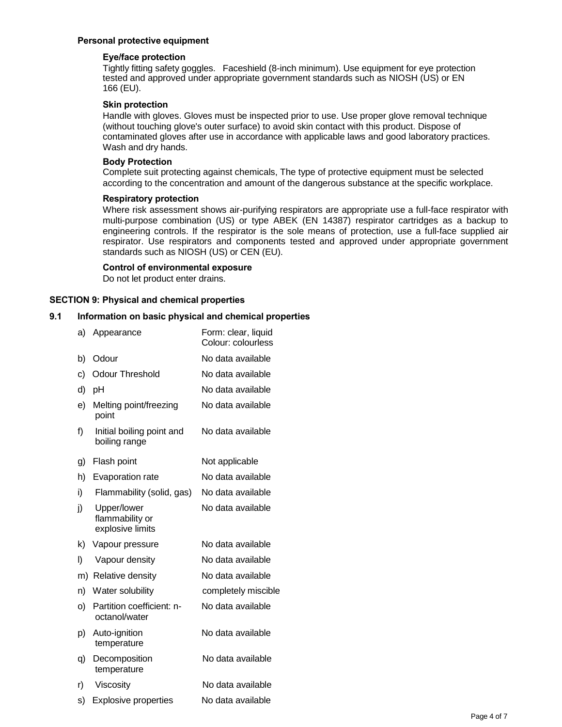# **Personal protective equipment**

# **Eye/face protection**

Tightly fitting safety goggles. Faceshield (8-inch minimum). Use equipment for eye protection tested and approved under appropriate government standards such as NIOSH (US) or EN 166 (EU).

# **Skin protection**

Handle with gloves. Gloves must be inspected prior to use. Use proper glove removal technique (without touching glove's outer surface) to avoid skin contact with this product. Dispose of contaminated gloves after use in accordance with applicable laws and good laboratory practices. Wash and dry hands.

# **Body Protection**

Complete suit protecting against chemicals, The type of protective equipment must be selected according to the concentration and amount of the dangerous substance at the specific workplace.

# **Respiratory protection**

Where risk assessment shows air-purifying respirators are appropriate use a full-face respirator with multi-purpose combination (US) or type ABEK (EN 14387) respirator cartridges as a backup to engineering controls. If the respirator is the sole means of protection, use a full-face supplied air respirator. Use respirators and components tested and approved under appropriate government standards such as NIOSH (US) or CEN (EU).

# **Control of environmental exposure**

Do not let product enter drains.

# **SECTION 9: Physical and chemical properties**

# **9.1 Information on basic physical and chemical properties**

| a) | Appearance                                         | Form: clear, liquid<br>Colour: colourless |
|----|----------------------------------------------------|-------------------------------------------|
| b) | Odour                                              | No data available                         |
| c) | <b>Odour Threshold</b>                             | No data available                         |
| d) | pH                                                 | No data available                         |
| e) | Melting point/freezing<br>point                    | No data available                         |
| f) | Initial boiling point and<br>boiling range         | No data available                         |
| g) | Flash point                                        | Not applicable                            |
| h) | <b>Evaporation rate</b>                            | No data available                         |
| i) | Flammability (solid, gas)                          | No data available                         |
| j) | Upper/lower<br>flammability or<br>explosive limits | No data available                         |
| k) | Vapour pressure                                    | No data available                         |
| I) | Vapour density                                     | No data available                         |
| m) | Relative density                                   | No data available                         |
| n) | Water solubility                                   | completely miscible                       |
| o) | Partition coefficient: n-<br>octanol/water         | No data available                         |
| p) | Auto-ignition<br>temperature                       | No data available                         |
| q) | Decomposition<br>temperature                       | No data available                         |
| r) | Viscosity                                          | No data available                         |
| s) | <b>Explosive properties</b>                        | No data available                         |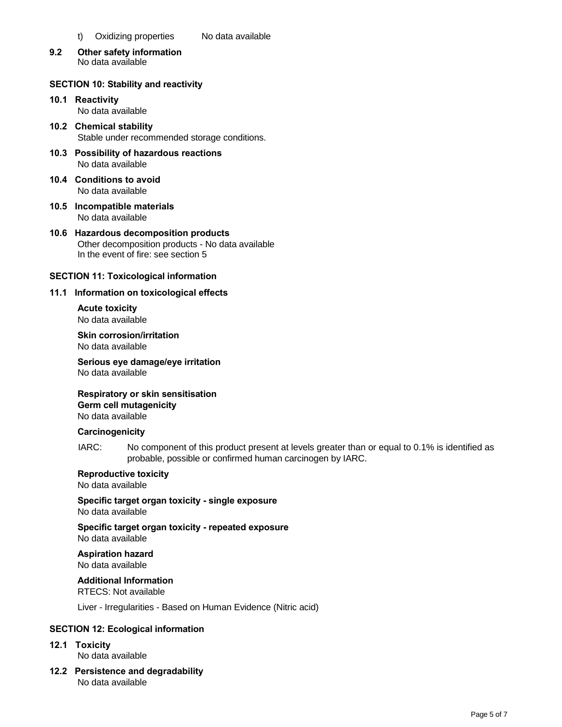- t) Oxidizing properties No data available
- **9.2 Other safety information** No data available

# **SECTION 10: Stability and reactivity**

- **10.1 Reactivity**  No data available
- **10.2 Chemical stability**  Stable under recommended storage conditions.
- **10.3 Possibility of hazardous reactions**  No data available
- **10.4 Conditions to avoid**  No data available
- **10.5 Incompatible materials**  No data available
- **10.6 Hazardous decomposition products**  Other decomposition products - No data available In the event of fire: see section 5

# **SECTION 11: Toxicological information**

# **11.1 Information on toxicological effects**

**Acute toxicity**  No data available

**Skin corrosion/irritation**  No data available

**Serious eye damage/eye irritation**  No data available

**Respiratory or skin sensitisation Germ cell mutagenicity** 

No data available

# **Carcinogenicity**

IARC: No component of this product present at levels greater than or equal to 0.1% is identified as probable, possible or confirmed human carcinogen by IARC.

#### **Reproductive toxicity**  No data available

**Specific target organ toxicity - single exposure**  No data available

**Specific target organ toxicity - repeated exposure**  No data available

**Aspiration hazard**  No data available

**Additional Information** 

RTECS: Not available

Liver - Irregularities - Based on Human Evidence (Nitric acid)

# **SECTION 12: Ecological information**

**12.1 Toxicity** 

No data available

**12.2 Persistence and degradability**  No data available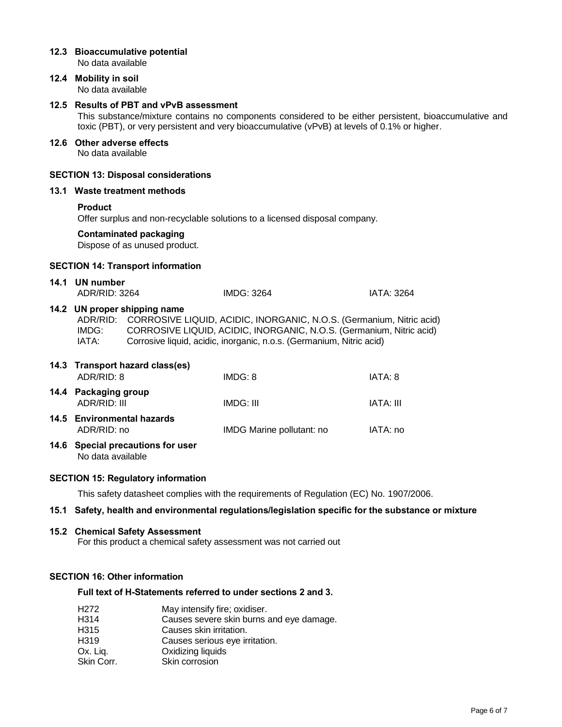|      | No data available                                                                                                                                                                                                                                | 12.3 Bioaccumulative potential                                 |                                                                                                                                                                                                                      |                   |
|------|--------------------------------------------------------------------------------------------------------------------------------------------------------------------------------------------------------------------------------------------------|----------------------------------------------------------------|----------------------------------------------------------------------------------------------------------------------------------------------------------------------------------------------------------------------|-------------------|
|      | 12.4 Mobility in soil<br>No data available                                                                                                                                                                                                       |                                                                |                                                                                                                                                                                                                      |                   |
|      | 12.5 Results of PBT and vPvB assessment<br>This substance/mixture contains no components considered to be either persistent, bioaccumulative and<br>toxic (PBT), or very persistent and very bioaccumulative (vPvB) at levels of 0.1% or higher. |                                                                |                                                                                                                                                                                                                      |                   |
|      | 12.6 Other adverse effects<br>No data available                                                                                                                                                                                                  |                                                                |                                                                                                                                                                                                                      |                   |
|      |                                                                                                                                                                                                                                                  | <b>SECTION 13: Disposal considerations</b>                     |                                                                                                                                                                                                                      |                   |
|      | 13.1 Waste treatment methods                                                                                                                                                                                                                     |                                                                |                                                                                                                                                                                                                      |                   |
|      | <b>Product</b><br>Offer surplus and non-recyclable solutions to a licensed disposal company.                                                                                                                                                     |                                                                |                                                                                                                                                                                                                      |                   |
|      |                                                                                                                                                                                                                                                  | <b>Contaminated packaging</b><br>Dispose of as unused product. |                                                                                                                                                                                                                      |                   |
|      |                                                                                                                                                                                                                                                  | <b>SECTION 14: Transport information</b>                       |                                                                                                                                                                                                                      |                   |
|      | 14.1 UN number<br>ADR/RID: 3264                                                                                                                                                                                                                  |                                                                | IMDG: 3264                                                                                                                                                                                                           | <b>IATA: 3264</b> |
|      | ADR/RID:<br>IMDG:<br>IATA:                                                                                                                                                                                                                       | 14.2 UN proper shipping name                                   | CORROSIVE LIQUID, ACIDIC, INORGANIC, N.O.S. (Germanium, Nitric acid)<br>CORROSIVE LIQUID, ACIDIC, INORGANIC, N.O.S. (Germanium, Nitric acid)<br>Corrosive liquid, acidic, inorganic, n.o.s. (Germanium, Nitric acid) |                   |
|      | ADR/RID: 8                                                                                                                                                                                                                                       | 14.3 Transport hazard class(es)                                | IMDG: 8                                                                                                                                                                                                              | IATA: 8           |
|      | 14.4 Packaging group<br><b>ADR/RID: III</b>                                                                                                                                                                                                      |                                                                | <b>IMDG: III</b>                                                                                                                                                                                                     | <b>IATA: III</b>  |
|      | ADR/RID: no                                                                                                                                                                                                                                      | 14.5 Environmental hazards                                     | IMDG Marine pollutant: no                                                                                                                                                                                            | IATA: no          |
|      | 14.6 Special precautions for user<br>No data available                                                                                                                                                                                           |                                                                |                                                                                                                                                                                                                      |                   |
|      | <b>SECTION 15: Regulatory information</b>                                                                                                                                                                                                        |                                                                |                                                                                                                                                                                                                      |                   |
|      |                                                                                                                                                                                                                                                  |                                                                | This safety datasheet complies with the requirements of Regulation (EC) No. 1907/2006.                                                                                                                               |                   |
| 15.1 |                                                                                                                                                                                                                                                  |                                                                | Safety, health and environmental regulations/legislation specific for the substance or mixture                                                                                                                       |                   |
|      |                                                                                                                                                                                                                                                  |                                                                |                                                                                                                                                                                                                      |                   |

#### **15.2 Chemical Safety Assessment**

For this product a chemical safety assessment was not carried out

# **SECTION 16: Other information**

# **Full text of H-Statements referred to under sections 2 and 3.**

| H <sub>272</sub> | May intensify fire; oxidiser.            |
|------------------|------------------------------------------|
| H314             | Causes severe skin burns and eye damage. |
| H315             | Causes skin irritation.                  |
| H319             | Causes serious eye irritation.           |
| Ox. Liq.         | Oxidizing liquids                        |
| Skin Corr.       | Skin corrosion                           |